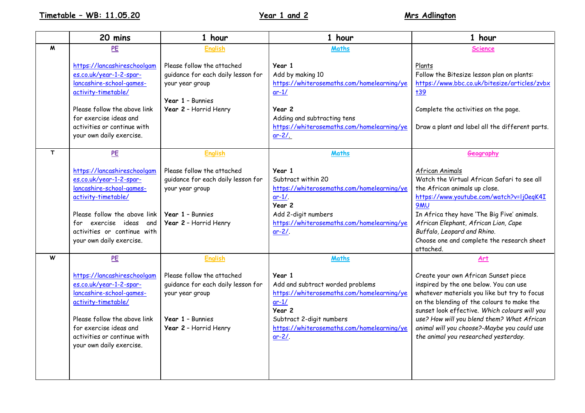|   | 20 mins                                                                                                                                                                                                                              | 1 hour                                                                                                                                             | 1 hour                                                                                                                                                                                                               | 1 hour                                                                                                                                                                                                                                                                                                                                                                    |  |  |
|---|--------------------------------------------------------------------------------------------------------------------------------------------------------------------------------------------------------------------------------------|----------------------------------------------------------------------------------------------------------------------------------------------------|----------------------------------------------------------------------------------------------------------------------------------------------------------------------------------------------------------------------|---------------------------------------------------------------------------------------------------------------------------------------------------------------------------------------------------------------------------------------------------------------------------------------------------------------------------------------------------------------------------|--|--|
| M | PE                                                                                                                                                                                                                                   | <b>English</b>                                                                                                                                     | <b>Maths</b>                                                                                                                                                                                                         | <b>Science</b>                                                                                                                                                                                                                                                                                                                                                            |  |  |
|   | https://lancashireschoolgam<br>es.co.uk/year-1-2-spar-<br>lancashire-school-games-<br>activity-timetable/<br>Please follow the above link<br>for exercise ideas and<br>activities or continue with<br>your own daily exercise.       | Please follow the attached<br>quidance for each daily lesson for<br>your year group<br>Year 1 - Bunnies<br>Year 2 - Horrid Henry                   | Year 1<br>Add by making 10<br>https://whiterosemaths.com/homelearning/ye<br>$ar-1/$<br>Year <sub>2</sub><br>Adding and subtracting tens<br>https://whiterosemaths.com/homelearning/ye<br>$ar-2/$                     | Plants<br>Follow the Bitesize lesson plan on plants:<br>https://www.bbc.co.uk/bitesize/articles/zvbx<br>$+39$<br>Complete the activities on the page.<br>Draw a plant and label all the different parts.                                                                                                                                                                  |  |  |
| T | <b>PE</b>                                                                                                                                                                                                                            | <b>English</b>                                                                                                                                     | <b>Maths</b>                                                                                                                                                                                                         | Geography                                                                                                                                                                                                                                                                                                                                                                 |  |  |
|   | https://lancashireschoolgam<br>es.co.uk/year-1-2-spar-<br>lancashire-school-games-<br>activity-timetable/<br>Please follow the above link<br>for exercise ideas and<br>activities or continue with<br>your own daily exercise.       | Please follow the attached<br>guidance for each daily lesson for<br>your year group<br>Year 1 - Bunnies<br>Year 2 - Horrid Henry                   | Year 1<br>Subtract within 20<br>https://whiterosemaths.com/homelearning/ye<br>$ar-1/$ .<br>Year 2<br>Add 2-digit numbers<br>https://whiterosemaths.com/homelearning/ye<br>$ar-2/$ .                                  | <b>African Animals</b><br>Watch the Virtual African Safari to see all<br>the African animals up close.<br>https://www.youtube.com/watch?v=lj0eqK4I<br>9 <sub>MU</sub><br>In Africa they have 'The Big Five' animals.<br>African Elephant, African Lion, Cape<br>Buffalo, Leopard and Rhino.<br>Choose one and complete the research sheet<br>attached.                    |  |  |
| W | PE<br>https://lancashireschoolgam<br>es.co.uk/year-1-2-spar-<br>lancashire-school-games-<br>activity-timetable/<br>Please follow the above link<br>for exercise ideas and<br>activities or continue with<br>your own daily exercise. | <b>English</b><br>Please follow the attached<br>guidance for each daily lesson for<br>your year group<br>Year 1 - Bunnies<br>Year 2 - Horrid Henry | <b>Maths</b><br>Year 1<br>Add and subtract worded problems<br>https://whiterosemaths.com/homelearning/ye<br>$ar-1/$<br>Year 2<br>Subtract 2-digit numbers<br>https://whiterosemaths.com/homelearning/ye<br>$ar-2/$ . | Art<br>Create your own African Sunset piece<br>inspired by the one below. You can use<br>whatever materials you like but try to focus<br>on the blending of the colours to make the<br>sunset look effective. Which colours will you<br>use? How will you blend them? What African<br>animal will you choose?-Maybe you could use<br>the animal you researched yesterday. |  |  |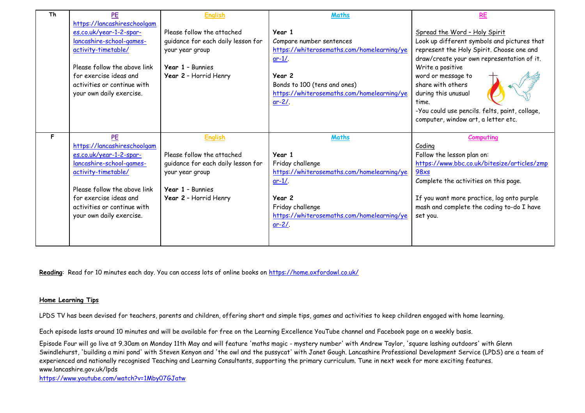| <b>Th</b> | PE<br><b>English</b>                                           |                                    | <b>Maths</b>                               | <b>RE</b>                                      |  |  |  |
|-----------|----------------------------------------------------------------|------------------------------------|--------------------------------------------|------------------------------------------------|--|--|--|
|           | https://lancashireschoolgam                                    |                                    |                                            |                                                |  |  |  |
|           | es.co.uk/year-1-2-spar-                                        | Please follow the attached         | Year 1                                     | Spread the Word - Holy Spirit                  |  |  |  |
|           | lancashire-school-games-<br>guidance for each daily lesson for |                                    | Compare number sentences                   | Look up different symbols and pictures that    |  |  |  |
|           | activity-timetable/<br>your year group                         |                                    | https://whiterosemaths.com/homelearning/ye | represent the Holy Spirit. Choose one and      |  |  |  |
|           |                                                                |                                    | $ar-1/$                                    | draw/create your own representation of it.     |  |  |  |
|           | Please follow the above link                                   | Year 1 - Bunnies                   |                                            | Write a positive                               |  |  |  |
|           | Year 2 - Horrid Henry<br>for exercise ideas and                |                                    | Year 2                                     | word or message to                             |  |  |  |
|           | activities or continue with                                    |                                    | Bonds to 100 (tens and ones)               | share with others<br>during this unusual       |  |  |  |
|           | your own daily exercise.                                       |                                    | https://whiterosemaths.com/homelearning/ye |                                                |  |  |  |
|           |                                                                |                                    | $ar-2/$ .                                  | time.                                          |  |  |  |
|           |                                                                |                                    |                                            | -You could use pencils. felts, paint, collage, |  |  |  |
|           |                                                                |                                    |                                            | computer, window art, a letter etc.            |  |  |  |
|           |                                                                |                                    |                                            |                                                |  |  |  |
|           |                                                                |                                    |                                            |                                                |  |  |  |
| F         | PE                                                             | <b>English</b>                     | <b>Maths</b>                               | Computing                                      |  |  |  |
|           | https://lancashireschoolgam                                    |                                    |                                            | Coding                                         |  |  |  |
|           | es.co.uk/year-1-2-spar-                                        | Please follow the attached         | Year 1                                     | Follow the lesson plan on:                     |  |  |  |
|           | lancashire-school-games-                                       | guidance for each daily lesson for | Friday challenge                           | https://www.bbc.co.uk/bitesize/articles/zmp    |  |  |  |
|           | activity-timetable/                                            | your year group                    | https://whiterosemaths.com/homelearning/ye | 98x <sub>s</sub>                               |  |  |  |
|           |                                                                |                                    | $ar-1/$ .                                  | Complete the activities on this page.          |  |  |  |
|           | Please follow the above link                                   | Year 1 - Bunnies                   |                                            |                                                |  |  |  |
|           | for exercise ideas and                                         | Year 2 - Horrid Henry              | Year <sub>2</sub>                          | If you want more practice, log onto purple     |  |  |  |
|           | activities or continue with                                    |                                    | Friday challenge                           | mash and complete the coding to-do I have      |  |  |  |
|           | your own daily exercise.                                       |                                    | https://whiterosemaths.com/homelearning/ye | set you.                                       |  |  |  |
|           |                                                                |                                    | $ar-2/$ .                                  |                                                |  |  |  |
|           |                                                                |                                    |                                            |                                                |  |  |  |

**Reading**: Read for 10 minutes each day. You can access lots of online books on<https://home.oxfordowl.co.uk/>

## **Home Learning Tips**

LPDS TV has been devised for teachers, parents and children, offering short and simple tips, games and activities to keep children engaged with home learning.

Each episode lasts around 10 minutes and will be available for free on the Learning Excellence YouTube channel and Facebook page on a weekly basis.

Episode Four will go live at 9.30am on Monday 11th May and will feature 'maths magic - mystery number' with Andrew Taylor, 'square lashing outdoors' with Glenn Swindlehurst, 'building a mini pond' with Steven Kenyon and 'the owl and the pussycat' with Janet Gough. Lancashire Professional Development Service (LPDS) are a team of experienced and nationally recognised Teaching and Learning Consultants, supporting the primary curriculum. Tune in next week for more exciting features. www.lancashire.gov.uk/lpds

<https://www.youtube.com/watch?v=1Mby07GJatw>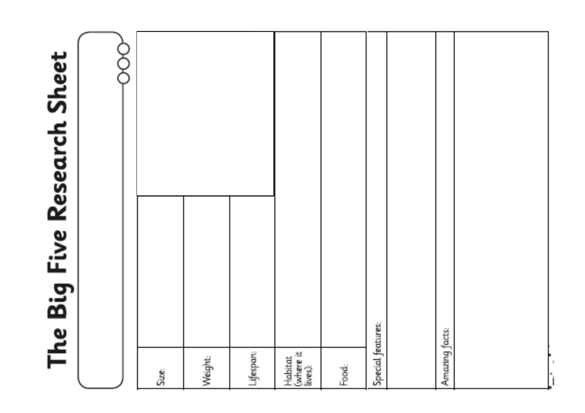| The Big Five Research Sheet |               |                |           |                                |       |                   |                |  |
|-----------------------------|---------------|----------------|-----------|--------------------------------|-------|-------------------|----------------|--|
|                             |               |                |           |                                |       |                   |                |  |
|                             |               |                |           |                                |       |                   |                |  |
|                             |               |                |           |                                |       |                   |                |  |
|                             |               |                |           |                                |       |                   |                |  |
|                             | $\frac{1}{2}$ | <b>Weight:</b> | Lifespan: | (where it<br>Habitat<br>j<br>S | Food: | Special features: | Amazing facts: |  |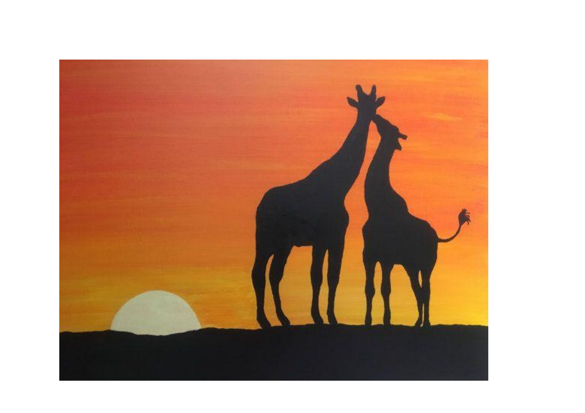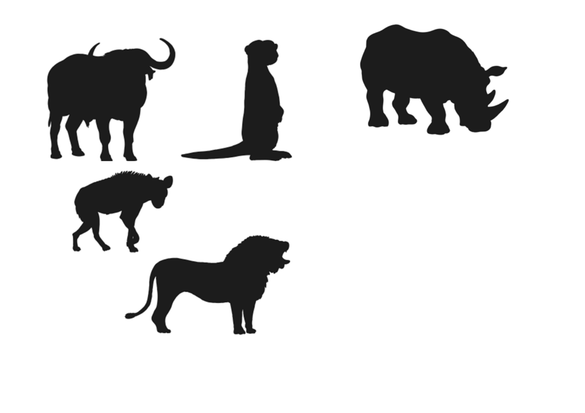